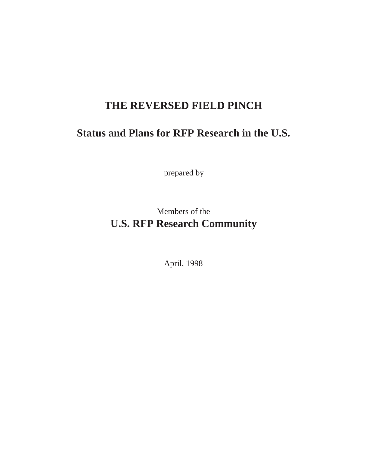# **THE REVERSED FIELD PINCH**

# **Status and Plans for RFP Research in the U.S.**

prepared by

Members of the **U.S. RFP Research Community**

April, 1998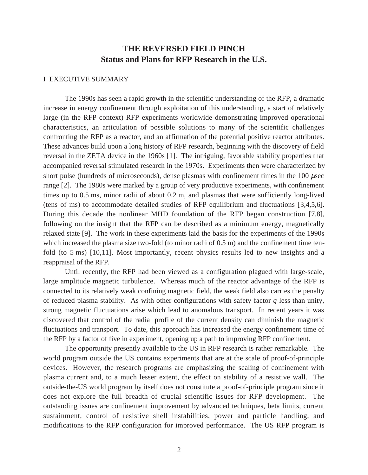# **THE REVERSED FIELD PINCH Status and Plans for RFP Research in the U.S.**

### I EXECUTIVE SUMMARY

The 1990s has seen a rapid growth in the scientific understanding of the RFP, a dramatic increase in energy confinement through exploitation of this understanding, a start of relatively large (in the RFP context) RFP experiments worldwide demonstrating improved operational characteristics, an articulation of possible solutions to many of the scientific challenges confronting the RFP as a reactor, and an affirmation of the potential positive reactor attributes. These advances build upon a long history of RFP research, beginning with the discovery of field reversal in the ZETA device in the 1960s [1]. The intriguing, favorable stability properties that accompanied reversal stimulated research in the 1970s. Experiments then were characterized by short pulse (hundreds of microseconds), dense plasmas with confinement times in the 100 µsec range [2]. The 1980s were marked by a group of very productive experiments, with confinement times up to 0.5 ms, minor radii of about 0.2 m, and plasmas that were sufficiently long-lived (tens of ms) to accommodate detailed studies of RFP equilibrium and fluctuations [3,4,5,6]. During this decade the nonlinear MHD foundation of the RFP began construction [7,8], following on the insight that the RFP can be described as a minimum energy, magnetically relaxed state [9]. The work in these experiments laid the basis for the experiments of the 1990s which increased the plasma size two-fold (to minor radii of 0.5 m) and the confinement time tenfold (to 5 ms) [10,11]. Most importantly, recent physics results led to new insights and a reappraisal of the RFP.

Until recently, the RFP had been viewed as a configuration plagued with large-scale, large amplitude magnetic turbulence. Whereas much of the reactor advantage of the RFP is connected to its relatively weak confining magnetic field, the weak field also carries the penalty of reduced plasma stability. As with other configurations with safety factor  $q$  less than unity, strong magnetic fluctuations arise which lead to anomalous transport. In recent years it was discovered that control of the radial profile of the current density can diminish the magnetic fluctuations and transport. To date, this approach has increased the energy confinement time of the RFP by a factor of five in experiment, opening up a path to improving RFP confinement.

The opportunity presently available to the US in RFP research is rather remarkable. The world program outside the US contains experiments that are at the scale of proof-of-principle devices. However, the research programs are emphasizing the scaling of confinement with plasma current and, to a much lesser extent, the effect on stability of a resistive wall. The outside-the-US world program by itself does not constitute a proof-of-principle program since it does not explore the full breadth of crucial scientific issues for RFP development. The outstanding issues are confinement improvement by advanced techniques, beta limits, current sustainment, control of resistive shell instabilities, power and particle handling, and modifications to the RFP configuration for improved performance. The US RFP program is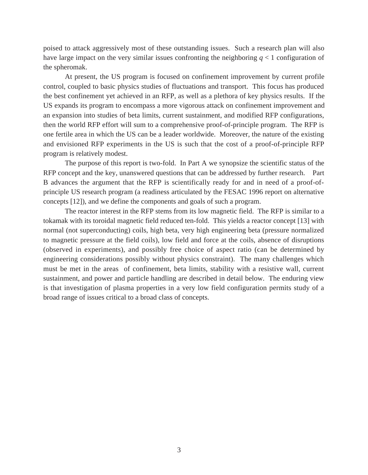poised to attack aggressively most of these outstanding issues. Such a research plan will also have large impact on the very similar issues confronting the neighboring  $q < 1$  configuration of the spheromak.

At present, the US program is focused on confinement improvement by current profile control, coupled to basic physics studies of fluctuations and transport. This focus has produced the best confinement yet achieved in an RFP, as well as a plethora of key physics results. If the US expands its program to encompass a more vigorous attack on confinement improvement and an expansion into studies of beta limits, current sustainment, and modified RFP configurations, then the world RFP effort will sum to a comprehensive proof-of-principle program. The RFP is one fertile area in which the US can be a leader worldwide. Moreover, the nature of the existing and envisioned RFP experiments in the US is such that the cost of a proof-of-principle RFP program is relatively modest.

The purpose of this report is two-fold. In Part A we synopsize the scientific status of the RFP concept and the key, unanswered questions that can be addressed by further research. Part B advances the argument that the RFP is scientifically ready for and in need of a proof-ofprinciple US research program (a readiness articulated by the FESAC 1996 report on alternative concepts [12]), and we define the components and goals of such a program.

The reactor interest in the RFP stems from its low magnetic field. The RFP is similar to a tokamak with its toroidal magnetic field reduced ten-fold. This yields a reactor concept [13] with normal (not superconducting) coils, high beta, very high engineering beta (pressure normalized to magnetic pressure at the field coils), low field and force at the coils, absence of disruptions (observed in experiments), and possibly free choice of aspect ratio (can be determined by engineering considerations possibly without physics constraint). The many challenges which must be met in the areas of confinement, beta limits, stability with a resistive wall, current sustainment, and power and particle handling are described in detail below. The enduring view is that investigation of plasma properties in a very low field configuration permits study of a broad range of issues critical to a broad class of concepts.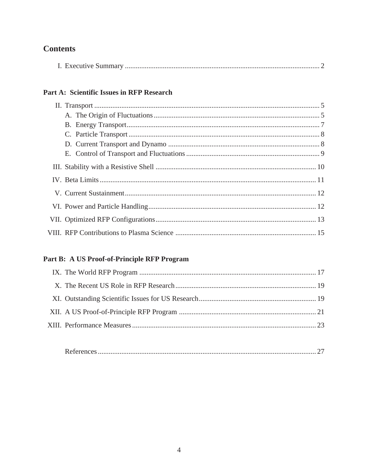# **Contents**

|--|--|--|--|--|

# Part A: Scientific Issues in RFP Research

# Part B: A US Proof-of-Principle RFP Program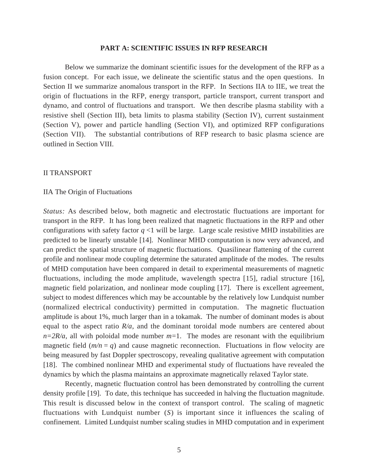### **PART A: SCIENTIFIC ISSUES IN RFP RESEARCH**

Below we summarize the dominant scientific issues for the development of the RFP as a fusion concept. For each issue, we delineate the scientific status and the open questions. In Section II we summarize anomalous transport in the RFP. In Sections IIA to IIE, we treat the origin of fluctuations in the RFP, energy transport, particle transport, current transport and dynamo, and control of fluctuations and transport. We then describe plasma stability with a resistive shell (Section III), beta limits to plasma stability (Section IV), current sustainment (Section V), power and particle handling (Section VI), and optimized RFP configurations (Section VII). The substantial contributions of RFP research to basic plasma science are outlined in Section VIII.

### II TRANSPORT

### IIA The Origin of Fluctuations

*Status:* As described below, both magnetic and electrostatic fluctuations are important for transport in the RFP. It has long been realized that magnetic fluctuations in the RFP and other configurations with safety factor  $q$  <1 will be large. Large scale resistive MHD instabilities are predicted to be linearly unstable [14]. Nonlinear MHD computation is now very advanced, and can predict the spatial structure of magnetic fluctuations. Quasilinear flattening of the current profile and nonlinear mode coupling determine the saturated amplitude of the modes. The results of MHD computation have been compared in detail to experimental measurements of magnetic fluctuations, including the mode amplitude, wavelength spectra [15], radial structure [16], magnetic field polarization, and nonlinear mode coupling [17]. There is excellent agreement, subject to modest differences which may be accountable by the relatively low Lundquist number (normalized electrical conductivity) permitted in computation. The magnetic fluctuation amplitude is about 1%, much larger than in a tokamak. The number of dominant modes is about equal to the aspect ratio *R/a*, and the dominant toroidal mode numbers are centered about  $n=2R/a$ , all with poloidal mode number  $m=1$ . The modes are resonant with the equilibrium magnetic field  $(m/n = q)$  and cause magnetic reconnection. Fluctuations in flow velocity are being measured by fast Doppler spectroscopy, revealing qualitative agreement with computation [18]. The combined nonlinear MHD and experimental study of fluctuations have revealed the dynamics by which the plasma maintains an approximate magnetically relaxed Taylor state.

Recently, magnetic fluctuation control has been demonstrated by controlling the current density profile [19]. To date, this technique has succeeded in halving the fluctuation magnitude. This result is discussed below in the context of transport control. The scaling of magnetic fluctuations with Lundquist number (*S*) is important since it influences the scaling of confinement. Limited Lundquist number scaling studies in MHD computation and in experiment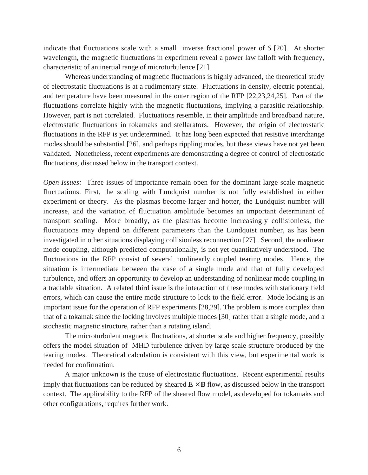indicate that fluctuations scale with a small inverse fractional power of *S* [20]. At shorter wavelength, the magnetic fluctuations in experiment reveal a power law falloff with frequency, characteristic of an inertial range of microturbulence [21].

Whereas understanding of magnetic fluctuations is highly advanced, the theoretical study of electrostatic fluctuations is at a rudimentary state. Fluctuations in density, electric potential, and temperature have been measured in the outer region of the RFP [22,23,24,25]. Part of the fluctuations correlate highly with the magnetic fluctuations, implying a parasitic relationship. However, part is not correlated. Fluctuations resemble, in their amplitude and broadband nature, electrostatic fluctuations in tokamaks and stellarators. However, the origin of electrostatic fluctuations in the RFP is yet undetermined. It has long been expected that resistive interchange modes should be substantial [26], and perhaps rippling modes, but these views have not yet been validated. Nonetheless, recent experiments are demonstrating a degree of control of electrostatic fluctuations, discussed below in the transport context.

*Open Issues:* Three issues of importance remain open for the dominant large scale magnetic fluctuations. First, the scaling with Lundquist number is not fully established in either experiment or theory. As the plasmas become larger and hotter, the Lundquist number will increase, and the variation of fluctuation amplitude becomes an important determinant of transport scaling. More broadly, as the plasmas become increasingly collisionless, the fluctuations may depend on different parameters than the Lundquist number, as has been investigated in other situations displaying collisionless reconnection [27]. Second, the nonlinear mode coupling, although predicted computationally, is not yet quantitatively understood. The fluctuations in the RFP consist of several nonlinearly coupled tearing modes. Hence, the situation is intermediate between the case of a single mode and that of fully developed turbulence, and offers an opportunity to develop an understanding of nonlinear mode coupling in a tractable situation. A related third issue is the interaction of these modes with stationary field errors, which can cause the entire mode structure to lock to the field error. Mode locking is an important issue for the operation of RFP experiments [28,29]. The problem is more complex than that of a tokamak since the locking involves multiple modes [30] rather than a single mode, and a stochastic magnetic structure, rather than a rotating island.

The microturbulent magnetic fluctuations, at shorter scale and higher frequency, possibly offers the model situation of MHD turbulence driven by large scale structure produced by the tearing modes. Theoretical calculation is consistent with this view, but experimental work is needed for confirmation.

A major unknown is the cause of electrostatic fluctuations. Recent experimental results imply that fluctuations can be reduced by sheared  $\mathbf{E} \times \mathbf{B}$  flow, as discussed below in the transport context. The applicability to the RFP of the sheared flow model, as developed for tokamaks and other configurations, requires further work.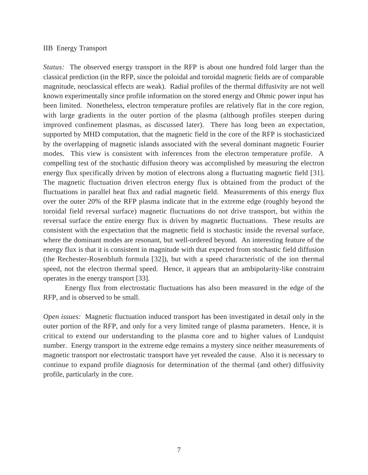### IIB Energy Transport

*Status:* The observed energy transport in the RFP is about one hundred fold larger than the classical prediction (in the RFP, since the poloidal and toroidal magnetic fields are of comparable magnitude, neoclassical effects are weak). Radial profiles of the thermal diffusivity are not well known experimentally since profile information on the stored energy and Ohmic power input has been limited. Nonetheless, electron temperature profiles are relatively flat in the core region, with large gradients in the outer portion of the plasma (although profiles steepen during improved confinement plasmas, as discussed later). There has long been an expectation, supported by MHD computation, that the magnetic field in the core of the RFP is stochasticized by the overlapping of magnetic islands associated with the several dominant magnetic Fourier modes. This view is consistent with inferences from the electron temperature profile. A compelling test of the stochastic diffusion theory was accomplished by measuring the electron energy flux specifically driven by motion of electrons along a fluctuating magnetic field [31]. The magnetic fluctuation driven electron energy flux is obtained from the product of the fluctuations in parallel heat flux and radial magnetic field. Measurements of this energy flux over the outer 20% of the RFP plasma indicate that in the extreme edge (roughly beyond the toroidal field reversal surface) magnetic fluctuations do not drive transport, but within the reversal surface the entire energy flux is driven by magnetic fluctuations. These results are consistent with the expectation that the magnetic field is stochastic inside the reversal surface, where the dominant modes are resonant, but well-ordered beyond. An interesting feature of the energy flux is that it is consistent in magnitude with that expected from stochastic field diffusion (the Rechester-Rosenbluth formula [32]), but with a speed characteristic of the ion thermal speed, not the electron thermal speed. Hence, it appears that an ambipolarity-like constraint operates in the energy transport [33].

Energy flux from electrostatic fluctuations has also been measured in the edge of the RFP, and is observed to be small.

*Open issues:* Magnetic fluctuation induced transport has been investigated in detail only in the outer portion of the RFP, and only for a very limited range of plasma parameters. Hence, it is critical to extend our understanding to the plasma core and to higher values of Lundquist number. Energy transport in the extreme edge remains a mystery since neither measurements of magnetic transport nor electrostatic transport have yet revealed the cause. Also it is necessary to continue to expand profile diagnosis for determination of the thermal (and other) diffusivity profile, particularly in the core.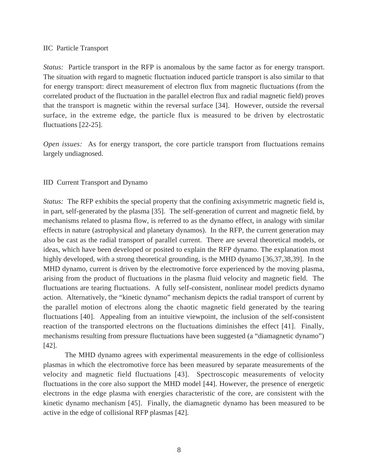### IIC Particle Transport

*Status:* Particle transport in the RFP is anomalous by the same factor as for energy transport. The situation with regard to magnetic fluctuation induced particle transport is also similar to that for energy transport: direct measurement of electron flux from magnetic fluctuations (from the correlated product of the fluctuation in the parallel electron flux and radial magnetic field) proves that the transport is magnetic within the reversal surface [34]. However, outside the reversal surface, in the extreme edge, the particle flux is measured to be driven by electrostatic fluctuations [22-25].

*Open issues:* As for energy transport, the core particle transport from fluctuations remains largely undiagnosed.

### IID Current Transport and Dynamo

*Status:* The RFP exhibits the special property that the confining axisymmetric magnetic field is, in part, self-generated by the plasma [35]. The self-generation of current and magnetic field, by mechanisms related to plasma flow, is referred to as the dynamo effect, in analogy with similar effects in nature (astrophysical and planetary dynamos). In the RFP, the current generation may also be cast as the radial transport of parallel current. There are several theoretical models, or ideas, which have been developed or posited to explain the RFP dynamo. The explanation most highly developed, with a strong theoretical grounding, is the MHD dynamo [36,37,38,39]. In the MHD dynamo, current is driven by the electromotive force experienced by the moving plasma, arising from the product of fluctuations in the plasma fluid velocity and magnetic field. The fluctuations are tearing fluctuations. A fully self-consistent, nonlinear model predicts dynamo action. Alternatively, the "kinetic dynamo" mechanism depicts the radial transport of current by the parallel motion of electrons along the chaotic magnetic field generated by the tearing fluctuations [40]. Appealing from an intuitive viewpoint, the inclusion of the self-consistent reaction of the transported electrons on the fluctuations diminishes the effect [41]. Finally, mechanisms resulting from pressure fluctuations have been suggested (a "diamagnetic dynamo") [42].

The MHD dynamo agrees with experimental measurements in the edge of collisionless plasmas in which the electromotive force has been measured by separate measurements of the velocity and magnetic field fluctuations [43]. Spectroscopic measurements of velocity fluctuations in the core also support the MHD model [44]. However, the presence of energetic electrons in the edge plasma with energies characteristic of the core, are consistent with the kinetic dynamo mechanism [45]. Finally, the diamagnetic dynamo has been measured to be active in the edge of collisional RFP plasmas [42].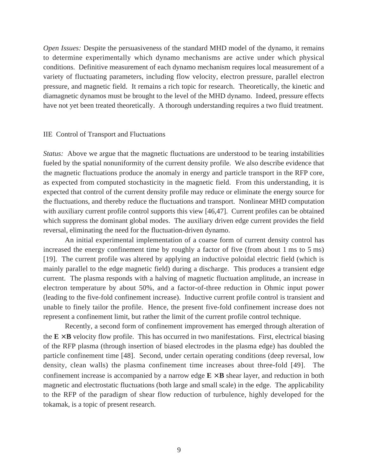*Open Issues:* Despite the persuasiveness of the standard MHD model of the dynamo, it remains to determine experimentally which dynamo mechanisms are active under which physical conditions. Definitive measurement of each dynamo mechanism requires local measurement of a variety of fluctuating parameters, including flow velocity, electron pressure, parallel electron pressure, and magnetic field. It remains a rich topic for research. Theoretically, the kinetic and diamagnetic dynamos must be brought to the level of the MHD dynamo. Indeed, pressure effects have not yet been treated theoretically. A thorough understanding requires a two fluid treatment.

### IIE Control of Transport and Fluctuations

*Status:* Above we argue that the magnetic fluctuations are understood to be tearing instabilities fueled by the spatial nonuniformity of the current density profile. We also describe evidence that the magnetic fluctuations produce the anomaly in energy and particle transport in the RFP core, as expected from computed stochasticity in the magnetic field. From this understanding, it is expected that control of the current density profile may reduce or eliminate the energy source for the fluctuations, and thereby reduce the fluctuations and transport. Nonlinear MHD computation with auxiliary current profile control supports this view [46,47]. Current profiles can be obtained which suppress the dominant global modes. The auxiliary driven edge current provides the field reversal, eliminating the need for the fluctuation-driven dynamo.

An initial experimental implementation of a coarse form of current density control has increased the energy confinement time by roughly a factor of five (from about 1 ms to 5 ms) [19]. The current profile was altered by applying an inductive poloidal electric field (which is mainly parallel to the edge magnetic field) during a discharge. This produces a transient edge current. The plasma responds with a halving of magnetic fluctuation amplitude, an increase in electron temperature by about 50%, and a factor-of-three reduction in Ohmic input power (leading to the five-fold confinement increase). Inductive current profile control is transient and unable to finely tailor the profile. Hence, the present five-fold confinement increase does not represent a confinement limit, but rather the limit of the current profile control technique.

Recently, a second form of confinement improvement has emerged through alteration of the  $\mathbf{E} \times \mathbf{B}$  velocity flow profile. This has occurred in two manifestations. First, electrical biasing of the RFP plasma (through insertion of biased electrodes in the plasma edge) has doubled the particle confinement time [48]. Second, under certain operating conditions (deep reversal, low density, clean walls) the plasma confinement time increases about three-fold [49]. The confinement increase is accompanied by a narrow edge  $\mathbf{E} \times \mathbf{B}$  shear layer, and reduction in both magnetic and electrostatic fluctuations (both large and small scale) in the edge. The applicability to the RFP of the paradigm of shear flow reduction of turbulence, highly developed for the tokamak, is a topic of present research.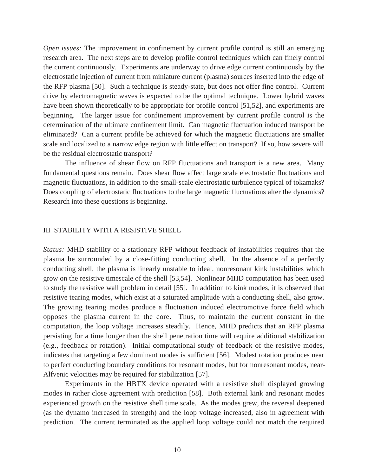*Open issues:* The improvement in confinement by current profile control is still an emerging research area. The next steps are to develop profile control techniques which can finely control the current continuously. Experiments are underway to drive edge current continuously by the electrostatic injection of current from miniature current (plasma) sources inserted into the edge of the RFP plasma [50]. Such a technique is steady-state, but does not offer fine control. Current drive by electromagnetic waves is expected to be the optimal technique. Lower hybrid waves have been shown theoretically to be appropriate for profile control [51,52], and experiments are beginning. The larger issue for confinement improvement by current profile control is the determination of the ultimate confinement limit. Can magnetic fluctuation induced transport be eliminated? Can a current profile be achieved for which the magnetic fluctuations are smaller scale and localized to a narrow edge region with little effect on transport? If so, how severe will be the residual electrostatic transport?

The influence of shear flow on RFP fluctuations and transport is a new area. Many fundamental questions remain. Does shear flow affect large scale electrostatic fluctuations and magnetic fluctuations, in addition to the small-scale electrostatic turbulence typical of tokamaks? Does coupling of electrostatic fluctuations to the large magnetic fluctuations alter the dynamics? Research into these questions is beginning.

### III STABILITY WITH A RESISTIVE SHELL

*Status:* MHD stability of a stationary RFP without feedback of instabilities requires that the plasma be surrounded by a close-fitting conducting shell. In the absence of a perfectly conducting shell, the plasma is linearly unstable to ideal, nonresonant kink instabilities which grow on the resistive timescale of the shell [53,54]. Nonlinear MHD computation has been used to study the resistive wall problem in detail [55]. In addition to kink modes, it is observed that resistive tearing modes, which exist at a saturated amplitude with a conducting shell, also grow. The growing tearing modes produce a fluctuation induced electromotive force field which opposes the plasma current in the core. Thus, to maintain the current constant in the computation, the loop voltage increases steadily. Hence, MHD predicts that an RFP plasma persisting for a time longer than the shell penetration time will require additional stabilization (e.g., feedback or rotation). Initial computational study of feedback of the resistive modes, indicates that targeting a few dominant modes is sufficient [56]. Modest rotation produces near to perfect conducting boundary conditions for resonant modes, but for nonresonant modes, near-Alfvenic velocities may be required for stabilization [57].

Experiments in the HBTX device operated with a resistive shell displayed growing modes in rather close agreement with prediction [58]. Both external kink and resonant modes experienced growth on the resistive shell time scale. As the modes grew, the reversal deepened (as the dynamo increased in strength) and the loop voltage increased, also in agreement with prediction. The current terminated as the applied loop voltage could not match the required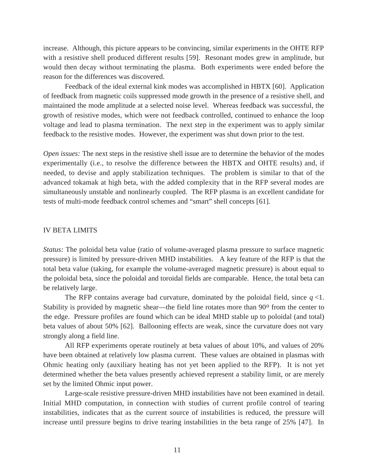increase. Although, this picture appears to be convincing, similar experiments in the OHTE RFP with a resistive shell produced different results [59]. Resonant modes grew in amplitude, but would then decay without terminating the plasma. Both experiments were ended before the reason for the differences was discovered.

Feedback of the ideal external kink modes was accomplished in HBTX [60]. Application of feedback from magnetic coils suppressed mode growth in the presence of a resistive shell, and maintained the mode amplitude at a selected noise level. Whereas feedback was successful, the growth of resistive modes, which were not feedback controlled, continued to enhance the loop voltage and lead to plasma termination. The next step in the experiment was to apply similar feedback to the resistive modes. However, the experiment was shut down prior to the test.

*Open issues:* The next steps in the resistive shell issue are to determine the behavior of the modes experimentally (i.e., to resolve the difference between the HBTX and OHTE results) and, if needed, to devise and apply stabilization techniques. The problem is similar to that of the advanced tokamak at high beta, with the added complexity that in the RFP several modes are simultaneously unstable and nonlinearly coupled. The RFP plasma is an excellent candidate for tests of multi-mode feedback control schemes and "smart" shell concepts [61].

### IV BETA LIMITS

*Status:* The poloidal beta value (ratio of volume-averaged plasma pressure to surface magnetic pressure) is limited by pressure-driven MHD instabilities. A key feature of the RFP is that the total beta value (taking, for example the volume-averaged magnetic pressure) is about equal to the poloidal beta, since the poloidal and toroidal fields are comparable. Hence, the total beta can be relatively large.

The RFP contains average bad curvature, dominated by the poloidal field, since  $q < 1$ . Stability is provided by magnetic shear—the field line rotates more than 90<sup>o</sup> from the center to the edge. Pressure profiles are found which can be ideal MHD stable up to poloidal (and total) beta values of about 50% [62]. Ballooning effects are weak, since the curvature does not vary strongly along a field line.

All RFP experiments operate routinely at beta values of about 10%, and values of 20% have been obtained at relatively low plasma current. These values are obtained in plasmas with Ohmic heating only (auxiliary heating has not yet been applied to the RFP). It is not yet determined whether the beta values presently achieved represent a stability limit, or are merely set by the limited Ohmic input power.

Large-scale resistive pressure-driven MHD instabilities have not been examined in detail. Initial MHD computation, in connection with studies of current profile control of tearing instabilities, indicates that as the current source of instabilities is reduced, the pressure will increase until pressure begins to drive tearing instabilities in the beta range of 25% [47]. In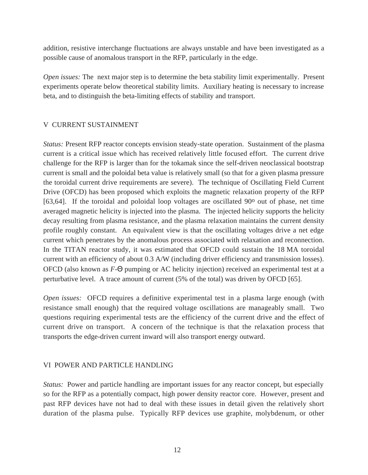addition, resistive interchange fluctuations are always unstable and have been investigated as a possible cause of anomalous transport in the RFP, particularly in the edge.

*Open issues:* The next major step is to determine the beta stability limit experimentally. Present experiments operate below theoretical stability limits. Auxiliary heating is necessary to increase beta, and to distinguish the beta-limiting effects of stability and transport.

### V CURRENT SUSTAINMENT

*Status:* Present RFP reactor concepts envision steady-state operation. Sustainment of the plasma current is a critical issue which has received relatively little focused effort. The current drive challenge for the RFP is larger than for the tokamak since the self-driven neoclassical bootstrap current is small and the poloidal beta value is relatively small (so that for a given plasma pressure the toroidal current drive requirements are severe). The technique of Oscillating Field Current Drive (OFCD) has been proposed which exploits the magnetic relaxation property of the RFP [63,64]. If the toroidal and poloidal loop voltages are oscillated  $90^{\circ}$  out of phase, net time averaged magnetic helicity is injected into the plasma. The injected helicity supports the helicity decay resulting from plasma resistance, and the plasma relaxation maintains the current density profile roughly constant. An equivalent view is that the oscillating voltages drive a net edge current which penetrates by the anomalous process associated with relaxation and reconnection. In the TITAN reactor study, it was estimated that OFCD could sustain the 18 MA toroidal current with an efficiency of about 0.3 A/W (including driver efficiency and transmission losses). OFCD (also known as *F*-Θ pumping or AC helicity injection) received an experimental test at a perturbative level. A trace amount of current (5% of the total) was driven by OFCD [65].

*Open issues:* OFCD requires a definitive experimental test in a plasma large enough (with resistance small enough) that the required voltage oscillations are manageably small. Two questions requiring experimental tests are the efficiency of the current drive and the effect of current drive on transport. A concern of the technique is that the relaxation process that transports the edge-driven current inward will also transport energy outward.

### VI POWER AND PARTICLE HANDLING

*Status:* Power and particle handling are important issues for any reactor concept, but especially so for the RFP as a potentially compact, high power density reactor core. However, present and past RFP devices have not had to deal with these issues in detail given the relatively short duration of the plasma pulse. Typically RFP devices use graphite, molybdenum, or other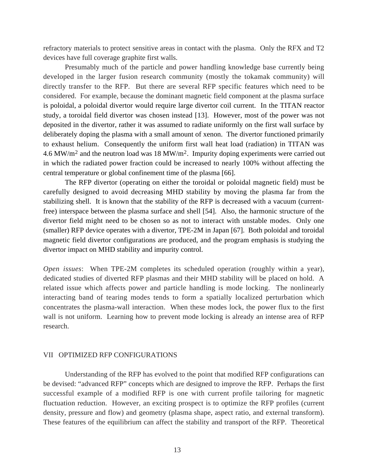refractory materials to protect sensitive areas in contact with the plasma. Only the RFX and T2 devices have full coverage graphite first walls.

Presumably much of the particle and power handling knowledge base currently being developed in the larger fusion research community (mostly the tokamak community) will directly transfer to the RFP. But there are several RFP specific features which need to be considered. For example, because the dominant magnetic field component at the plasma surface is poloidal, a poloidal divertor would require large divertor coil current. In the TITAN reactor study, a toroidal field divertor was chosen instead [13]. However, most of the power was not deposited in the divertor, rather it was assumed to radiate uniformly on the first wall surface by deliberately doping the plasma with a small amount of xenon. The divertor functioned primarily to exhaust helium. Consequently the uniform first wall heat load (radiation) in TITAN was 4.6 MW/m<sup>2</sup> and the neutron load was 18 MW/m<sup>2</sup>. Impurity doping experiments were carried out in which the radiated power fraction could be increased to nearly 100% without affecting the central temperature or global confinement time of the plasma [66].

The RFP divertor (operating on either the toroidal or poloidal magnetic field) must be carefully designed to avoid decreasing MHD stability by moving the plasma far from the stabilizing shell. It is known that the stability of the RFP is decreased with a vacuum (currentfree) interspace between the plasma surface and shell [54]. Also, the harmonic structure of the divertor field might need to be chosen so as not to interact with unstable modes. Only one (smaller) RFP device operates with a divertor, TPE-2M in Japan [67]. Both poloidal and toroidal magnetic field divertor configurations are produced, and the program emphasis is studying the divertor impact on MHD stability and impurity control.

*Open issues*: When TPE-2M completes its scheduled operation (roughly within a year), dedicated studies of diverted RFP plasmas and their MHD stability will be placed on hold. A related issue which affects power and particle handling is mode locking. The nonlinearly interacting band of tearing modes tends to form a spatially localized perturbation which concentrates the plasma-wall interaction. When these modes lock, the power flux to the first wall is not uniform. Learning how to prevent mode locking is already an intense area of RFP research.

### VII OPTIMIZED RFP CONFIGURATIONS

Understanding of the RFP has evolved to the point that modified RFP configurations can be devised: "advanced RFP" concepts which are designed to improve the RFP. Perhaps the first successful example of a modified RFP is one with current profile tailoring for magnetic fluctuation reduction. However, an exciting prospect is to optimize the RFP profiles (current density, pressure and flow) and geometry (plasma shape, aspect ratio, and external transform). These features of the equilibrium can affect the stability and transport of the RFP. Theoretical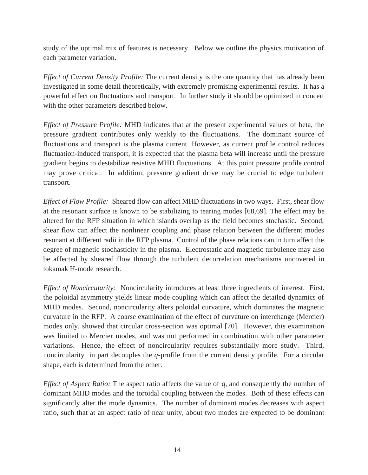study of the optimal mix of features is necessary. Below we outline the physics motivation of each parameter variation.

*Effect of Current Density Profile:* The current density is the one quantity that has already been investigated in some detail theoretically, with extremely promising experimental results. It has a powerful effect on fluctuations and transport. In further study it should be optimized in concert with the other parameters described below.

*Effect of Pressure Profile:* MHD indicates that at the present experimental values of beta, the pressure gradient contributes only weakly to the fluctuations. The dominant source of fluctuations and transport is the plasma current. However, as current profile control reduces fluctuation-induced transport, it is expected that the plasma beta will increase until the pressure gradient begins to destabilize resistive MHD fluctuations. At this point pressure profile control may prove critical. In addition, pressure gradient drive may be crucial to edge turbulent transport.

*Effect of Flow Profile:* Sheared flow can affect MHD fluctuations in two ways. First, shear flow at the resonant surface is known to be stabilizing to tearing modes [68,69]. The effect may be altered for the RFP situation in which islands overlap as the field becomes stochastic. Second, shear flow can affect the nonlinear coupling and phase relation between the different modes resonant at different radii in the RFP plasma. Control of the phase relations can in turn affect the degree of magnetic stochasticity in the plasma. Electrostatic and magnetic turbulence may also be affected by sheared flow through the turbulent decorrelation mechanisms uncovered in tokamak H-mode research.

*Effect of Noncircularity:* Noncircularity introduces at least three ingredients of interest. First, the poloidal asymmetry yields linear mode coupling which can affect the detailed dynamics of MHD modes. Second, noncircularity alters poloidal curvature, which dominates the magnetic curvature in the RFP. A coarse examination of the effect of curvature on interchange (Mercier) modes only, showed that circular cross-section was optimal [70]. However, this examination was limited to Mercier modes, and was not performed in combination with other parameter variations. Hence, the effect of noncircularity requires substantially more study. Third, noncircularity in part decouples the *q*-profile from the current density profile. For a circular shape, each is determined from the other.

*Effect of Aspect Ratio:* The aspect ratio affects the value of *q*, and consequently the number of dominant MHD modes and the toroidal coupling between the modes. Both of these effects can significantly alter the mode dynamics. The number of dominant modes decreases with aspect ratio, such that at an aspect ratio of near unity, about two modes are expected to be dominant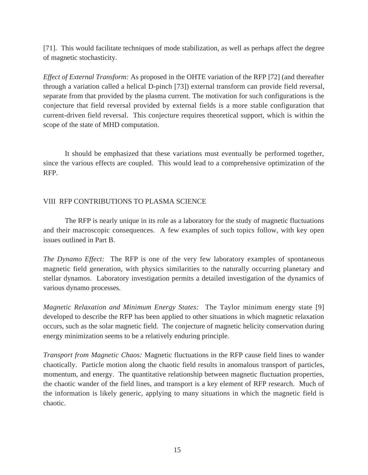[71]. This would facilitate techniques of mode stabilization, as well as perhaps affect the degree of magnetic stochasticity.

*Effect of External Transform:* As proposed in the OHTE variation of the RFP [72] (and thereafter through a variation called a helical D-pinch [73]) external transform can provide field reversal, separate from that provided by the plasma current. The motivation for such configurations is the conjecture that field reversal provided by external fields is a more stable configuration that current-driven field reversal. This conjecture requires theoretical support, which is within the scope of the state of MHD computation.

It should be emphasized that these variations must eventually be performed together, since the various effects are coupled. This would lead to a comprehensive optimization of the RFP.

## VIII RFP CONTRIBUTIONS TO PLASMA SCIENCE

The RFP is nearly unique in its role as a laboratory for the study of magnetic fluctuations and their macroscopic consequences. A few examples of such topics follow, with key open issues outlined in Part B.

*The Dynamo Effect:* The RFP is one of the very few laboratory examples of spontaneous magnetic field generation, with physics similarities to the naturally occurring planetary and stellar dynamos. Laboratory investigation permits a detailed investigation of the dynamics of various dynamo processes.

*Magnetic Relaxation and Minimum Energy States:* The Taylor minimum energy state [9] developed to describe the RFP has been applied to other situations in which magnetic relaxation occurs, such as the solar magnetic field. The conjecture of magnetic helicity conservation during energy minimization seems to be a relatively enduring principle.

*Transport from Magnetic Chaos:* Magnetic fluctuations in the RFP cause field lines to wander chaotically. Particle motion along the chaotic field results in anomalous transport of particles, momentum, and energy. The quantitative relationship between magnetic fluctuation properties, the chaotic wander of the field lines, and transport is a key element of RFP research. Much of the information is likely generic, applying to many situations in which the magnetic field is chaotic.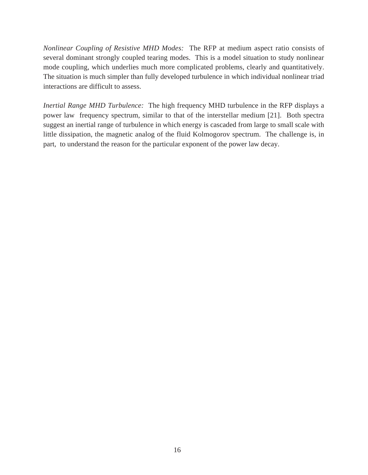*Nonlinear Coupling of Resistive MHD Modes:* The RFP at medium aspect ratio consists of several dominant strongly coupled tearing modes. This is a model situation to study nonlinear mode coupling, which underlies much more complicated problems, clearly and quantitatively. The situation is much simpler than fully developed turbulence in which individual nonlinear triad interactions are difficult to assess.

*Inertial Range MHD Turbulence:* The high frequency MHD turbulence in the RFP displays a power law frequency spectrum, similar to that of the interstellar medium [21]. Both spectra suggest an inertial range of turbulence in which energy is cascaded from large to small scale with little dissipation, the magnetic analog of the fluid Kolmogorov spectrum. The challenge is, in part, to understand the reason for the particular exponent of the power law decay.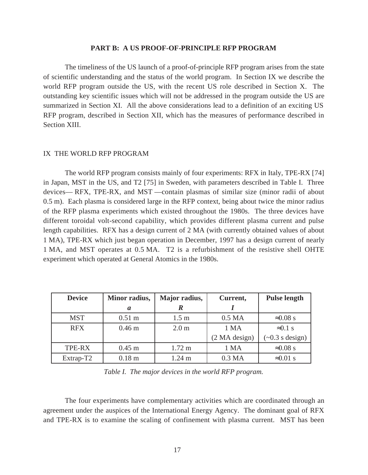### **PART B: A US PROOF-OF-PRINCIPLE RFP PROGRAM**

The timeliness of the US launch of a proof-of-principle RFP program arises from the state of scientific understanding and the status of the world program. In Section IX we describe the world RFP program outside the US, with the recent US role described in Section X. The outstanding key scientific issues which will not be addressed in the program outside the US are summarized in Section XI. All the above considerations lead to a definition of an exciting US RFP program, described in Section XII, which has the measures of performance described in Section XIII.

### IX THE WORLD RFP PROGRAM

The world RFP program consists mainly of four experiments: RFX in Italy, TPE-RX [74] in Japan, MST in the US, and T2 [75] in Sweden, with parameters described in Table I. Three devices— RFX, TPE-RX, and MST —contain plasmas of similar size (minor radii of about 0.5 m). Each plasma is considered large in the RFP context, being about twice the minor radius of the RFP plasma experiments which existed throughout the 1980s. The three devices have different toroidal volt-second capability, which provides different plasma current and pulse length capabilities. RFX has a design current of 2 MA (with currently obtained values of about 1 MA), TPE-RX which just began operation in December, 1997 has a design current of nearly 1 MA, and MST operates at 0.5 MA. T2 is a refurbishment of the resistive shell OHTE experiment which operated at General Atomics in the 1980s.

| <b>Device</b> | Minor radius,     | Major radius,<br>Current, |                   | <b>Pulse length</b>       |
|---------------|-------------------|---------------------------|-------------------|---------------------------|
|               | a                 |                           |                   |                           |
| <b>MST</b>    | $0.51 \text{ m}$  | $1.5 \text{ m}$           | 0.5 <sub>MA</sub> | $\approx 0.08$ s          |
| <b>RFX</b>    | 0.46 <sub>m</sub> | 2.0 <sub>m</sub>          | 1 MA              | $\approx 0.1$ s           |
|               |                   |                           | (2 MA design)     | $(-0.3 \text{ s design})$ |
| <b>TPE-RX</b> | $0.45$ m          | $1.72 \text{ m}$          | 1 MA              | $\approx 0.08$ s          |
| Extrap-T2     | 0.18 <sub>m</sub> | $1.24 \text{ m}$          | 0.3 <sub>MA</sub> | $\approx 0.01$ s          |

*Table I. The major devices in the world RFP program.*

The four experiments have complementary activities which are coordinated through an agreement under the auspices of the International Energy Agency. The dominant goal of RFX and TPE-RX is to examine the scaling of confinement with plasma current. MST has been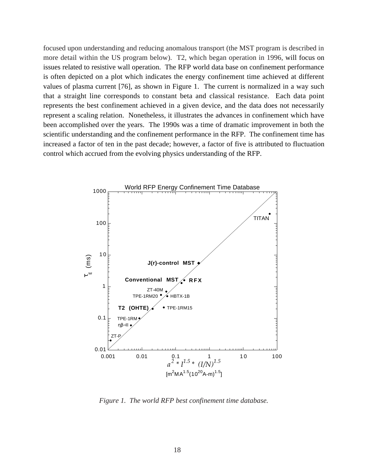focused upon understanding and reducing anomalous transport (the MST program is described in more detail within the US program below). T2, which began operation in 1996, will focus on issues related to resistive wall operation. The RFP world data base on confinement performance is often depicted on a plot which indicates the energy confinement time achieved at different values of plasma current [76], as shown in Figure 1. The current is normalized in a way such that a straight line corresponds to constant beta and classical resistance. Each data point represents the best confinement achieved in a given device, and the data does not necessarily represent a scaling relation. Nonetheless, it illustrates the advances in confinement which have been accomplished over the years. The 1990s was a time of dramatic improvement in both the scientific understanding and the confinement performance in the RFP. The confinement time has increased a factor of ten in the past decade; however, a factor of five is attributed to fluctuation control which accrued from the evolving physics understanding of the RFP.



*Figure 1. The world RFP best confinement time database.*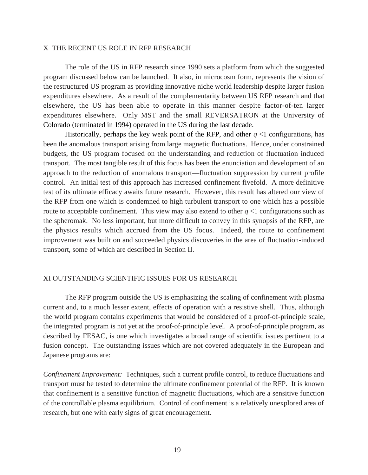### X THE RECENT US ROLE IN RFP RESEARCH

The role of the US in RFP research since 1990 sets a platform from which the suggested program discussed below can be launched. It also, in microcosm form, represents the vision of the restructured US program as providing innovative niche world leadership despite larger fusion expenditures elsewhere. As a result of the complementarity between US RFP research and that elsewhere, the US has been able to operate in this manner despite factor-of-ten larger expenditures elsewhere. Only MST and the small REVERSATRON at the University of Colorado (terminated in 1994) operated in the US during the last decade.

Historically, perhaps the key weak point of the RFP, and other  $q \leq 1$  configurations, has been the anomalous transport arising from large magnetic fluctuations. Hence, under constrained budgets, the US program focused on the understanding and reduction of fluctuation induced transport. The most tangible result of this focus has been the enunciation and development of an approach to the reduction of anomalous transport—fluctuation suppression by current profile control. An initial test of this approach has increased confinement fivefold. A more definitive test of its ultimate efficacy awaits future research. However, this result has altered our view of the RFP from one which is condemned to high turbulent transport to one which has a possible route to acceptable confinement. This view may also extend to other  $q \leq 1$  configurations such as the spheromak. No less important, but more difficult to convey in this synopsis of the RFP, are the physics results which accrued from the US focus. Indeed, the route to confinement improvement was built on and succeeded physics discoveries in the area of fluctuation-induced transport, some of which are described in Section II.

### XI OUTSTANDING SCIENTIFIC ISSUES FOR US RESEARCH

The RFP program outside the US is emphasizing the scaling of confinement with plasma current and, to a much lesser extent, effects of operation with a resistive shell. Thus, although the world program contains experiments that would be considered of a proof-of-principle scale, the integrated program is not yet at the proof-of-principle level. A proof-of-principle program, as described by FESAC, is one which investigates a broad range of scientific issues pertinent to a fusion concept. The outstanding issues which are not covered adequately in the European and Japanese programs are:

*Confinement Improvement:* Techniques, such a current profile control, to reduce fluctuations and transport must be tested to determine the ultimate confinement potential of the RFP. It is known that confinement is a sensitive function of magnetic fluctuations, which are a sensitive function of the controllable plasma equilibrium. Control of confinement is a relatively unexplored area of research, but one with early signs of great encouragement.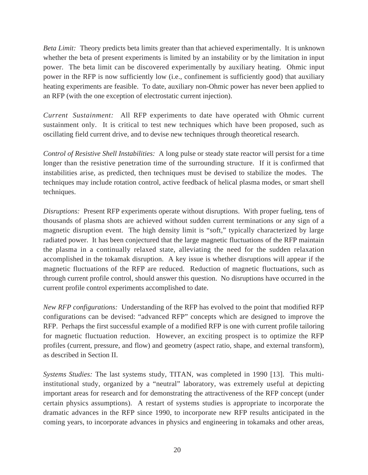*Beta Limit:* Theory predicts beta limits greater than that achieved experimentally. It is unknown whether the beta of present experiments is limited by an instability or by the limitation in input power. The beta limit can be discovered experimentally by auxiliary heating. Ohmic input power in the RFP is now sufficiently low (i.e., confinement is sufficiently good) that auxiliary heating experiments are feasible. To date, auxiliary non-Ohmic power has never been applied to an RFP (with the one exception of electrostatic current injection).

*Current Sustainment:* All RFP experiments to date have operated with Ohmic current sustainment only. It is critical to test new techniques which have been proposed, such as oscillating field current drive, and to devise new techniques through theoretical research.

*Control of Resistive Shell Instabilities:* A long pulse or steady state reactor will persist for a time longer than the resistive penetration time of the surrounding structure. If it is confirmed that instabilities arise, as predicted, then techniques must be devised to stabilize the modes. The techniques may include rotation control, active feedback of helical plasma modes, or smart shell techniques.

*Disruptions:* Present RFP experiments operate without disruptions. With proper fueling, tens of thousands of plasma shots are achieved without sudden current terminations or any sign of a magnetic disruption event. The high density limit is "soft," typically characterized by large radiated power. It has been conjectured that the large magnetic fluctuations of the RFP maintain the plasma in a continually relaxed state, alleviating the need for the sudden relaxation accomplished in the tokamak disruption. A key issue is whether disruptions will appear if the magnetic fluctuations of the RFP are reduced. Reduction of magnetic fluctuations, such as through current profile control, should answer this question. No disruptions have occurred in the current profile control experiments accomplished to date.

*New RFP configurations:* Understanding of the RFP has evolved to the point that modified RFP configurations can be devised: "advanced RFP" concepts which are designed to improve the RFP. Perhaps the first successful example of a modified RFP is one with current profile tailoring for magnetic fluctuation reduction. However, an exciting prospect is to optimize the RFP profiles (current, pressure, and flow) and geometry (aspect ratio, shape, and external transform), as described in Section II.

*Systems Studies:* The last systems study, TITAN, was completed in 1990 [13]. This multiinstitutional study, organized by a "neutral" laboratory, was extremely useful at depicting important areas for research and for demonstrating the attractiveness of the RFP concept (under certain physics assumptions). A restart of systems studies is appropriate to incorporate the dramatic advances in the RFP since 1990, to incorporate new RFP results anticipated in the coming years, to incorporate advances in physics and engineering in tokamaks and other areas,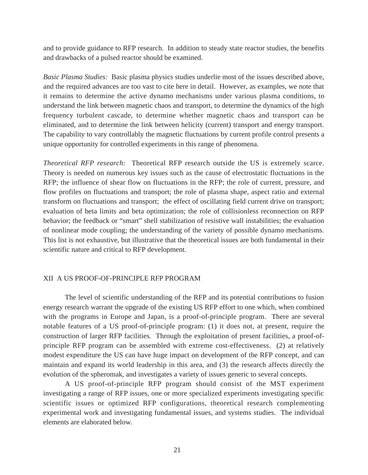and to provide guidance to RFP research. In addition to steady state reactor studies, the benefits and drawbacks of a pulsed reactor should be examined.

*Basic Plasma Studies:* Basic plasma physics studies underlie most of the issues described above, and the required advances are too vast to cite here in detail. However, as examples, we note that it remains to determine the active dynamo mechanisms under various plasma conditions, to understand the link between magnetic chaos and transport, to determine the dynamics of the high frequency turbulent cascade, to determine whether magnetic chaos and transport can be eliminated, and to determine the link between helicity (current) transport and energy transport. The capability to vary controllably the magnetic fluctuations by current profile control presents a unique opportunity for controlled experiments in this range of phenomena.

*Theoretical RFP research:* Theoretical RFP research outside the US is extremely scarce. Theory is needed on numerous key issues such as the cause of electrostatic fluctuations in the RFP; the influence of shear flow on fluctuations in the RFP; the role of current, pressure, and flow profiles on fluctuations and transport; the role of plasma shape, aspect ratio and external transform on fluctuations and transport; the effect of oscillating field current drive on transport; evaluation of beta limits and beta optimization; the role of collisionless reconnection on RFP behavior; the feedback or "smart" shell stabilization of resistive wall instabilities; the evaluation of nonlinear mode coupling; the understanding of the variety of possible dynamo mechanisms. This list is not exhaustive, but illustrative that the theoretical issues are both fundamental in their scientific nature and critical to RFP development.

### XII A US PROOF-OF-PRINCIPLE RFP PROGRAM

The level of scientific understanding of the RFP and its potential contributions to fusion energy research warrant the upgrade of the existing US RFP effort to one which, when combined with the programs in Europe and Japan, is a proof-of-principle program. There are several notable features of a US proof-of-principle program: (1) it does not, at present, require the construction of larger RFP facilities. Through the exploitation of present facilities, a proof-ofprinciple RFP program can be assembled with extreme cost-effectiveness. (2) at relatively modest expenditure the US can have huge impact on development of the RFP concept, and can maintain and expand its world leadership in this area, and (3) the research affects directly the evolution of the spheromak, and investigates a variety of issues generic to several concepts.

A US proof-of-principle RFP program should consist of the MST experiment investigating a range of RFP issues, one or more specialized experiments investigating specific scientific issues or optimized RFP configurations, theoretical research complementing experimental work and investigating fundamental issues, and systems studies. The individual elements are elaborated below.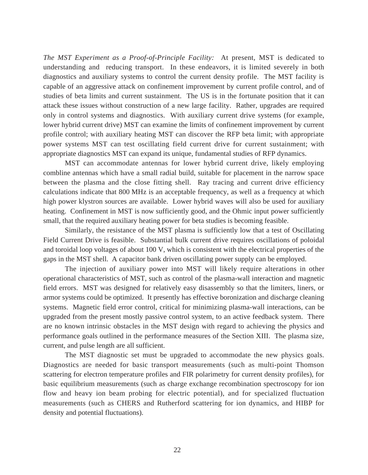*The MST Experiment as a Proof-of-Principle Facility:* At present, MST is dedicated to understanding and reducing transport. In these endeavors, it is limited severely in both diagnostics and auxiliary systems to control the current density profile. The MST facility is capable of an aggressive attack on confinement improvement by current profile control, and of studies of beta limits and current sustainment. The US is in the fortunate position that it can attack these issues without construction of a new large facility. Rather, upgrades are required only in control systems and diagnostics. With auxiliary current drive systems (for example, lower hybrid current drive) MST can examine the limits of confinement improvement by current profile control; with auxiliary heating MST can discover the RFP beta limit; with appropriate power systems MST can test oscillating field current drive for current sustainment; with appropriate diagnostics MST can expand its unique, fundamental studies of RFP dynamics.

MST can accommodate antennas for lower hybrid current drive, likely employing combline antennas which have a small radial build, suitable for placement in the narrow space between the plasma and the close fitting shell. Ray tracing and current drive efficiency calculations indicate that 800 MHz is an acceptable frequency, as well as a frequency at which high power klystron sources are available. Lower hybrid waves will also be used for auxiliary heating. Confinement in MST is now sufficiently good, and the Ohmic input power sufficiently small, that the required auxiliary heating power for beta studies is becoming feasible.

Similarly, the resistance of the MST plasma is sufficiently low that a test of Oscillating Field Current Drive is feasible. Substantial bulk current drive requires oscillations of poloidal and toroidal loop voltages of about 100 V, which is consistent with the electrical properties of the gaps in the MST shell. A capacitor bank driven oscillating power supply can be employed.

The injection of auxiliary power into MST will likely require alterations in other operational characteristics of MST, such as control of the plasma-wall interaction and magnetic field errors. MST was designed for relatively easy disassembly so that the limiters, liners, or armor systems could be optimized. It presently has effective boronization and discharge cleaning systems. Magnetic field error control, critical for minimizing plasma-wall interactions, can be upgraded from the present mostly passive control system, to an active feedback system. There are no known intrinsic obstacles in the MST design with regard to achieving the physics and performance goals outlined in the performance measures of the Section XIII. The plasma size, current, and pulse length are all sufficient.

The MST diagnostic set must be upgraded to accommodate the new physics goals. Diagnostics are needed for basic transport measurements (such as multi-point Thomson scattering for electron temperature profiles and FIR polarimetry for current density profiles), for basic equilibrium measurements (such as charge exchange recombination spectroscopy for ion flow and heavy ion beam probing for electric potential), and for specialized fluctuation measurements (such as CHERS and Rutherford scattering for ion dynamics, and HIBP for density and potential fluctuations).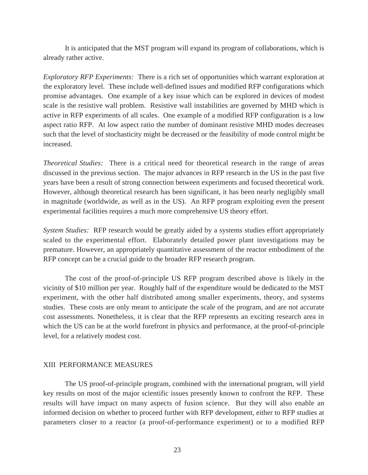It is anticipated that the MST program will expand its program of collaborations, which is already rather active.

*Exploratory RFP Experiments:* There is a rich set of opportunities which warrant exploration at the exploratory level. These include well-defined issues and modified RFP configurations which promise advantages. One example of a key issue which can be explored in devices of modest scale is the resistive wall problem. Resistive wall instabilities are governed by MHD which is active in RFP experiments of all scales. One example of a modified RFP configuration is a low aspect ratio RFP. At low aspect ratio the number of dominant resistive MHD modes decreases such that the level of stochasticity might be decreased or the feasibility of mode control might be increased.

*Theoretical Studies:* There is a critical need for theoretical research in the range of areas discussed in the previous section. The major advances in RFP research in the US in the past five years have been a result of strong connection between experiments and focused theoretical work. However, although theoretical research has been significant, it has been nearly negligibly small in magnitude (worldwide, as well as in the US). An RFP program exploiting even the present experimental facilities requires a much more comprehensive US theory effort.

*System Studies:* RFP research would be greatly aided by a systems studies effort appropriately scaled to the experimental effort. Elaborately detailed power plant investigations may be premature. However, an appropriately quantitative assessment of the reactor embodiment of the RFP concept can be a crucial guide to the broader RFP research program.

The cost of the proof-of-principle US RFP program described above is likely in the vicinity of \$10 million per year. Roughly half of the expenditure would be dedicated to the MST experiment, with the other half distributed among smaller experiments, theory, and systems studies. These costs are only meant to anticipate the scale of the program, and are not accurate cost assessments. Nonetheless, it is clear that the RFP represents an exciting research area in which the US can be at the world forefront in physics and performance, at the proof-of-principle level, for a relatively modest cost.

### XIII PERFORMANCE MEASURES

The US proof-of-principle program, combined with the international program, will yield key results on most of the major scientific issues presently known to confront the RFP. These results will have impact on many aspects of fusion science. But they will also enable an informed decision on whether to proceed further with RFP development, either to RFP studies at parameters closer to a reactor (a proof-of-performance experiment) or to a modified RFP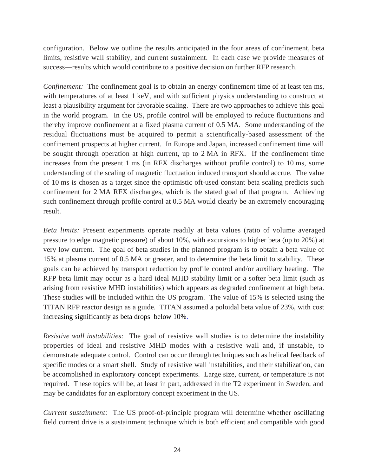configuration. Below we outline the results anticipated in the four areas of confinement, beta limits, resistive wall stability, and current sustainment. In each case we provide measures of success—results which would contribute to a positive decision on further RFP research.

*Confinement:* The confinement goal is to obtain an energy confinement time of at least ten ms, with temperatures of at least 1 keV, and with sufficient physics understanding to construct at least a plausibility argument for favorable scaling. There are two approaches to achieve this goal in the world program. In the US, profile control will be employed to reduce fluctuations and thereby improve confinement at a fixed plasma current of 0.5 MA. Some understanding of the residual fluctuations must be acquired to permit a scientifically-based assessment of the confinement prospects at higher current. In Europe and Japan, increased confinement time will be sought through operation at high current, up to 2 MA in RFX. If the confinement time increases from the present 1 ms (in RFX discharges without profile control) to 10 ms, some understanding of the scaling of magnetic fluctuation induced transport should accrue. The value of 10 ms is chosen as a target since the optimistic oft-used constant beta scaling predicts such confinement for 2 MA RFX discharges, which is the stated goal of that program. Achieving such confinement through profile control at 0.5 MA would clearly be an extremely encouraging result.

*Beta limits:* Present experiments operate readily at beta values (ratio of volume averaged pressure to edge magnetic pressure) of about 10%, with excursions to higher beta (up to 20%) at very low current. The goal of beta studies in the planned program is to obtain a beta value of 15% at plasma current of 0.5 MA or greater, and to determine the beta limit to stability. These goals can be achieved by transport reduction by profile control and/or auxiliary heating. The RFP beta limit may occur as a hard ideal MHD stability limit or a softer beta limit (such as arising from resistive MHD instabilities) which appears as degraded confinement at high beta. These studies will be included within the US program. The value of 15% is selected using the TITAN RFP reactor design as a guide. TITAN assumed a poloidal beta value of 23%, with cost increasing significantly as beta drops below 10%.

*Resistive wall instabilities:* The goal of resistive wall studies is to determine the instability properties of ideal and resistive MHD modes with a resistive wall and, if unstable, to demonstrate adequate control. Control can occur through techniques such as helical feedback of specific modes or a smart shell. Study of resistive wall instabilities, and their stabilization, can be accomplished in exploratory concept experiments. Large size, current, or temperature is not required. These topics will be, at least in part, addressed in the T2 experiment in Sweden, and may be candidates for an exploratory concept experiment in the US.

*Current sustainment:* The US proof-of-principle program will determine whether oscillating field current drive is a sustainment technique which is both efficient and compatible with good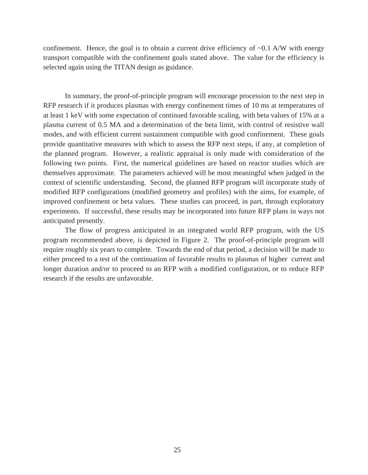confinement. Hence, the goal is to obtain a current drive efficiency of  $\sim 0.1$  A/W with energy transport compatible with the confinement goals stated above. The value for the efficiency is selected again using the TITAN design as guidance.

In summary, the proof-of-principle program will encourage procession to the next step in RFP research if it produces plasmas with energy confinement times of 10 ms at temperatures of at least 1 keV with some expectation of continued favorable scaling, with beta values of 15% at a plasma current of 0.5 MA and a determination of the beta limit, with control of resistive wall modes, and with efficient current sustainment compatible with good confinement. These goals provide quantitative measures with which to assess the RFP next steps, if any, at completion of the planned program. However, a realistic appraisal is only made with consideration of the following two points. First, the numerical guidelines are based on reactor studies which are themselves approximate. The parameters achieved will be most meaningful when judged in the context of scientific understanding. Second, the planned RFP program will incorporate study of modified RFP configurations (modified geometry and profiles) with the aims, for example, of improved confinement or beta values. These studies can proceed, in part, through exploratory experiments. If successful, these results may be incorporated into future RFP plans in ways not anticipated presently.

The flow of progress anticipated in an integrated world RFP program, with the US program recommended above, is depicted in Figure 2. The proof-of-principle program will require roughly six years to complete. Towards the end of that period, a decision will be made to either proceed to a test of the continuation of favorable results to plasmas of higher current and longer duration and/or to proceed to an RFP with a modified configuration, or to reduce RFP research if the results are unfavorable.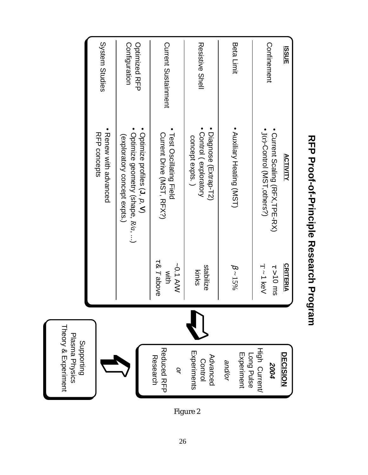|                                                     | System<br>Studies                     | <b>Optimized RFP</b><br>Configuration                                                           | Current Sustainment                                 | Resistive Shell                                                 | Beta Limit                         | Confinement<br><u>ISSUE</u>                                                     |
|-----------------------------------------------------|---------------------------------------|-------------------------------------------------------------------------------------------------|-----------------------------------------------------|-----------------------------------------------------------------|------------------------------------|---------------------------------------------------------------------------------|
|                                                     | • Kenew with advanced<br>RFP concepts | Optimize profiles (J, p, N)<br>Optimize geometry (shape, R/a, )<br>(exploratory concept expts.) | Test Oscillating Field<br>Current Drive (MST, RFX?) | Control (exploratory<br>Diagnose (Extrap-T2)<br>concept expts.) | · Auxiliary Heating (MST)          | • J(r)-Control (NSL'others')<br>Current Scaling (RFX,TPE-RX)<br><b>ACTIVITY</b> |
|                                                     |                                       |                                                                                                 | T& Tabove<br>$-0.1$ A/W<br>With                     | stabilize<br>kinks                                              | $\beta \sim 15\%$                  | <b>CRITERIA</b><br>T - 1 keV<br>suu $01 < 2$                                    |
|                                                     |                                       |                                                                                                 |                                                     |                                                                 |                                    |                                                                                 |
| Theory & Experiment<br>Plasma Physics<br>Supporting |                                       |                                                                                                 | <b>Reduced RFP</b><br>Research<br>q                 | Experiments<br>Advanced<br>Control                              | Experiment<br>Long Pulse<br>and/or | <b>High Current/</b><br><b>DECISION</b><br>2004                                 |

# RFP Proof-of-Principle Research Program **RFP Proof-of-Principle Research Program**

Figure 2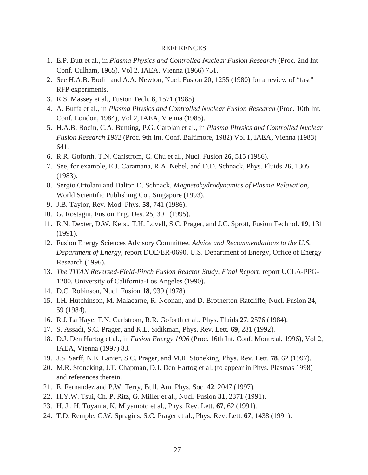### REFERENCES

- 1. E.P. Butt et al., in *Plasma Physics and Controlled Nuclear Fusion Research* (Proc. 2nd Int. Conf. Culham, 1965), Vol 2, IAEA, Vienna (1966) 751.
- 2. See H.A.B. Bodin and A.A. Newton, Nucl. Fusion 20, 1255 (1980) for a review of "fast" RFP experiments.
- 3. R.S. Massey et al., Fusion Tech. **8**, 1571 (1985).
- 4. A. Buffa et al., in *Plasma Physics and Controlled Nuclear Fusion Research* (Proc. 10th Int. Conf. London, 1984), Vol 2, IAEA, Vienna (1985).
- 5. H.A.B. Bodin, C.A. Bunting, P.G. Carolan et al., in *Plasma Physics and Controlled Nuclear Fusion Research 1982* (Proc. 9th Int. Conf. Baltimore, 1982) Vol 1, IAEA, Vienna (1983) 641.
- 6. R.R. Goforth, T.N. Carlstrom, C. Chu et al., Nucl. Fusion **26**, 515 (1986).
- 7. See, for example, E.J. Caramana, R.A. Nebel, and D.D. Schnack, Phys. Fluids **26**, 1305 (1983).
- 8. Sergio Ortolani and Dalton D. Schnack, *Magnetohydrodynamics of Plasma Relaxation*, World Scientific Publishing Co., Singapore (1993).
- 9. J.B. Taylor, Rev. Mod. Phys. **58**, 741 (1986).
- 10. G. Rostagni, Fusion Eng. Des. **25**, 301 (1995).
- 11. R.N. Dexter, D.W. Kerst, T.H. Lovell, S.C. Prager, and J.C. Sprott, Fusion Technol. **19**, 131 (1991).
- 12. Fusion Energy Sciences Advisory Committee, *Advice and Recommendations to the U.S. Department of Energy*, report DOE/ER-0690, U.S. Department of Energy, Office of Energy Research (1996).
- 13. *The TITAN Reversed-Field-Pinch Fusion Reactor Study, Final Report*, report UCLA-PPG-1200, University of California-Los Angeles (1990).
- 14. D.C. Robinson, Nucl. Fusion **18**, 939 (1978).
- 15. I.H. Hutchinson, M. Malacarne, R. Noonan, and D. Brotherton-Ratcliffe, Nucl. Fusion **24**, 59 (1984).
- 16. R.J. La Haye, T.N. Carlstrom, R.R. Goforth et al., Phys. Fluids **27**, 2576 (1984).
- 17. S. Assadi, S.C. Prager, and K.L. Sidikman, Phys. Rev. Lett. **69**, 281 (1992).
- 18. D.J. Den Hartog et al., in *Fusion Energy 1996* (Proc. 16th Int. Conf. Montreal, 1996), Vol 2, IAEA, Vienna (1997) 83.
- 19. J.S. Sarff, N.E. Lanier, S.C. Prager, and M.R. Stoneking, Phys. Rev. Lett. **78**, 62 (1997).
- 20. M.R. Stoneking, J.T. Chapman, D.J. Den Hartog et al. (to appear in Phys. Plasmas 1998) and references therein.
- 21. E. Fernandez and P.W. Terry, Bull. Am. Phys. Soc. **42**, 2047 (1997).
- 22. H.Y.W. Tsui, Ch. P. Ritz, G. Miller et al., Nucl. Fusion **31**, 2371 (1991).
- 23. H. Ji, H. Toyama, K. Miyamoto et al., Phys. Rev. Lett. **67**, 62 (1991).
- 24. T.D. Remple, C.W. Spragins, S.C. Prager et al., Phys. Rev. Lett. **67**, 1438 (1991).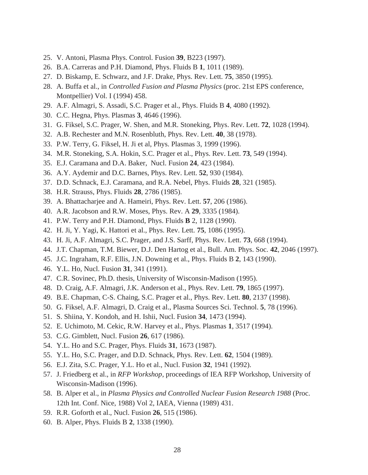- 25. V. Antoni, Plasma Phys. Control. Fusion **39**, B223 (1997).
- 26. B.A. Carreras and P.H. Diamond, Phys. Fluids B **1**, 1011 (1989).
- 27. D. Biskamp, E. Schwarz, and J.F. Drake, Phys. Rev. Lett. **75**, 3850 (1995).
- 28. A. Buffa et al., in *Controlled Fusion and Plasma Physics* (proc. 21st EPS conference, Montpellier) Vol. I (1994) 458.
- 29. A.F. Almagri, S. Assadi, S.C. Prager et al., Phys. Fluids B **4**, 4080 (1992).
- 30. C.C. Hegna, Phys. Plasmas **3**, 4646 (1996).
- 31. G. Fiksel, S.C. Prager, W. Shen, and M.R. Stoneking, Phys. Rev. Lett. **72**, 1028 (1994).
- 32. A.B. Rechester and M.N. Rosenbluth, Phys. Rev. Lett. **40**, 38 (1978).
- 33. P.W. Terry, G. Fiksel, H. Ji et al, Phys. Plasmas 3, 1999 (1996).
- 34. M.R. Stoneking, S.A. Hokin, S.C. Prager et al., Phys. Rev. Lett. **73**, 549 (1994).
- 35. E.J. Caramana and D.A. Baker, Nucl. Fusion **24**, 423 (1984).
- 36. A.Y. Aydemir and D.C. Barnes, Phys. Rev. Lett. **52**, 930 (1984).
- 37. D.D. Schnack, E.J. Caramana, and R.A. Nebel, Phys. Fluids **28**, 321 (1985).
- 38. H.R. Strauss, Phys. Fluids **28**, 2786 (1985).
- 39. A. Bhattacharjee and A. Hameiri, Phys. Rev. Lett. **57**, 206 (1986).
- 40. A.R. Jacobson and R.W. Moses, Phys. Rev. A **29**, 3335 (1984).
- 41. P.W. Terry and P.H. Diamond, Phys. Fluids **B** 2, 1128 (1990).
- 42. H. Ji, Y. Yagi, K. Hattori et al., Phys. Rev. Lett. **75**, 1086 (1995).
- 43. H. Ji, A.F. Almagri, S.C. Prager, and J.S. Sarff, Phys. Rev. Lett. **73**, 668 (1994).
- 44. J.T. Chapman, T.M. Biewer, D.J. Den Hartog et al., Bull. Am. Phys. Soc. **42**, 2046 (1997).
- 45. J.C. Ingraham, R.F. Ellis, J.N. Downing et al., Phys. Fluids B **2**, 143 (1990).
- 46. Y.L. Ho, Nucl. Fusion **31**, 341 (1991).
- 47. C.R. Sovinec, Ph.D. thesis, University of Wisconsin-Madison (1995).
- 48. D. Craig, A.F. Almagri, J.K. Anderson et al., Phys. Rev. Lett. **79**, 1865 (1997).
- 49. B.E. Chapman, C-S. Chaing, S.C. Prager et al., Phys. Rev. Lett. **80**, 2137 (1998).
- 50. G. Fiksel, A.F. Almagri, D. Craig et al., Plasma Sources Sci. Technol. **5**, 78 (1996).
- 51. S. Shiina, Y. Kondoh, and H. Ishii, Nucl. Fusion **34**, 1473 (1994).
- 52. E. Uchimoto, M. Cekic, R.W. Harvey et al., Phys. Plasmas **1**, 3517 (1994).
- 53. C.G. Gimblett, Nucl. Fusion **26**, 617 (1986).
- 54. Y.L. Ho and S.C. Prager, Phys. Fluids **31**, 1673 (1987).
- 55. Y.L. Ho, S.C. Prager, and D.D. Schnack, Phys. Rev. Lett. **62**, 1504 (1989).
- 56. E.J. Zita, S.C. Prager, Y.L. Ho et al., Nucl. Fusion **32**, 1941 (1992).
- 57. J. Friedberg et al., in *RFP Workshop*, proceedings of IEA RFP Workshop, University of Wisconsin-Madison (1996).
- 58. B. Alper et al., in *Plasma Physics and Controlled Nuclear Fusion Research 1988* (Proc. 12th Int. Conf. Nice, 1988) Vol 2, IAEA, Vienna (1989) 431.
- 59. R.R. Goforth et al., Nucl. Fusion **26**, 515 (1986).
- 60. B. Alper, Phys. Fluids B **2**, 1338 (1990).